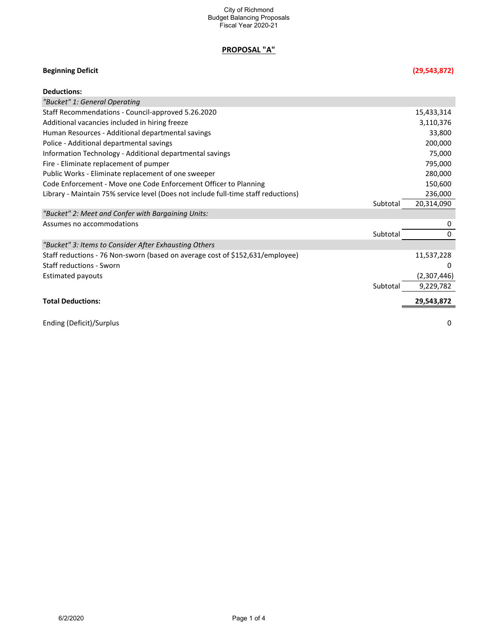# **PROPOSAL "A"**

# **Beginning Deficit (29,543,872)**

| <b>Deductions:</b>                                                                 |          |             |
|------------------------------------------------------------------------------------|----------|-------------|
| "Bucket" 1: General Operating                                                      |          |             |
| Staff Recommendations - Council-approved 5.26.2020                                 |          | 15,433,314  |
| Additional vacancies included in hiring freeze                                     |          | 3,110,376   |
| Human Resources - Additional departmental savings                                  |          | 33,800      |
| Police - Additional departmental savings                                           |          | 200,000     |
| Information Technology - Additional departmental savings                           |          | 75,000      |
| Fire - Eliminate replacement of pumper                                             |          | 795,000     |
| Public Works - Eliminate replacement of one sweeper                                |          | 280,000     |
| Code Enforcement - Move one Code Enforcement Officer to Planning                   |          | 150,600     |
| Library - Maintain 75% service level (Does not include full-time staff reductions) |          | 236,000     |
|                                                                                    | Subtotal | 20,314,090  |
| "Bucket" 2: Meet and Confer with Bargaining Units:                                 |          |             |
| Assumes no accommodations                                                          |          | 0           |
|                                                                                    | Subtotal | 0           |
| "Bucket" 3: Items to Consider After Exhausting Others                              |          |             |
| Staff reductions - 76 Non-sworn (based on average cost of \$152,631/employee)      |          | 11,537,228  |
| <b>Staff reductions - Sworn</b>                                                    |          | 0           |
| <b>Estimated payouts</b>                                                           |          | (2,307,446) |
|                                                                                    | Subtotal | 9,229,782   |
| <b>Total Deductions:</b>                                                           |          | 29,543,872  |
| Ending (Deficit)/Surplus                                                           |          | 0           |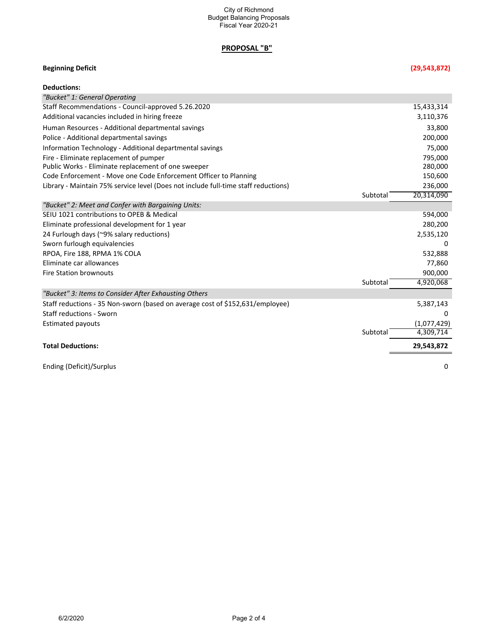## **PROPOSAL "B"**

## **Beginning Deficit (29,543,872)**

| <b>Deductions:</b>                                                                 |          |             |
|------------------------------------------------------------------------------------|----------|-------------|
| "Bucket" 1: General Operating                                                      |          |             |
| Staff Recommendations - Council-approved 5.26.2020                                 |          | 15,433,314  |
| Additional vacancies included in hiring freeze                                     |          | 3,110,376   |
| Human Resources - Additional departmental savings                                  |          | 33,800      |
| Police - Additional departmental savings                                           |          | 200,000     |
| Information Technology - Additional departmental savings                           |          | 75,000      |
| Fire - Eliminate replacement of pumper                                             |          | 795,000     |
| Public Works - Eliminate replacement of one sweeper                                |          | 280,000     |
| Code Enforcement - Move one Code Enforcement Officer to Planning                   |          | 150,600     |
| Library - Maintain 75% service level (Does not include full-time staff reductions) |          | 236,000     |
|                                                                                    | Subtotal | 20,314,090  |
| "Bucket" 2: Meet and Confer with Bargaining Units:                                 |          |             |
| SEIU 1021 contributions to OPEB & Medical                                          |          | 594,000     |
| Eliminate professional development for 1 year                                      |          | 280,200     |
| 24 Furlough days (~9% salary reductions)                                           |          | 2,535,120   |
| Sworn furlough equivalencies                                                       |          | 0           |
| RPOA, Fire 188, RPMA 1% COLA                                                       |          | 532,888     |
| Eliminate car allowances                                                           |          | 77,860      |
| <b>Fire Station brownouts</b>                                                      |          | 900,000     |
|                                                                                    | Subtotal | 4,920,068   |
| "Bucket" 3: Items to Consider After Exhausting Others                              |          |             |
| Staff reductions - 35 Non-sworn (based on average cost of \$152,631/employee)      |          | 5,387,143   |
| <b>Staff reductions - Sworn</b>                                                    |          | 0           |
| Estimated payouts                                                                  |          | (1,077,429) |
|                                                                                    | Subtotal | 4,309,714   |
| <b>Total Deductions:</b>                                                           |          | 29,543,872  |
| Ending (Deficit)/Surplus                                                           |          | 0           |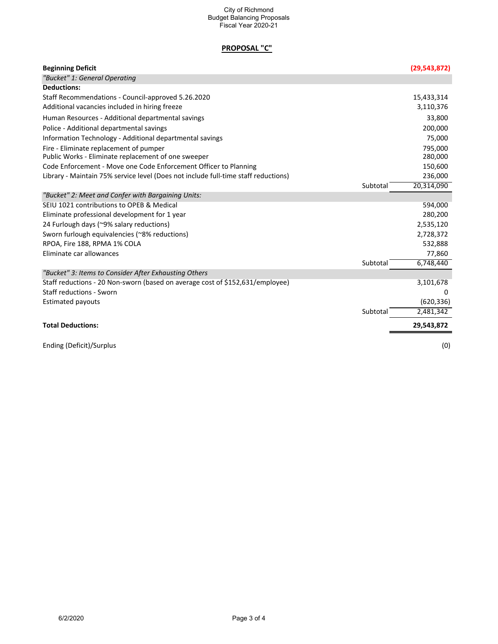### City of Richmond Budget Balancing Proposals Fiscal Year 2020-21

# **PROPOSAL "C"**

| <b>Beginning Deficit</b>                                                           | (29, 543, 872) |
|------------------------------------------------------------------------------------|----------------|
| "Bucket" 1: General Operating                                                      |                |
| <b>Deductions:</b>                                                                 |                |
| Staff Recommendations - Council-approved 5.26.2020                                 | 15,433,314     |
| Additional vacancies included in hiring freeze                                     | 3,110,376      |
| Human Resources - Additional departmental savings                                  | 33,800         |
| Police - Additional departmental savings                                           | 200,000        |
| Information Technology - Additional departmental savings                           | 75,000         |
| Fire - Eliminate replacement of pumper                                             | 795,000        |
| Public Works - Eliminate replacement of one sweeper                                | 280,000        |
| Code Enforcement - Move one Code Enforcement Officer to Planning                   | 150,600        |
| Library - Maintain 75% service level (Does not include full-time staff reductions) | 236,000        |
| Subtotal                                                                           | 20,314,090     |
| "Bucket" 2: Meet and Confer with Bargaining Units:                                 |                |
| SEIU 1021 contributions to OPEB & Medical                                          | 594,000        |
| Eliminate professional development for 1 year                                      | 280,200        |
| 24 Furlough days (~9% salary reductions)                                           | 2,535,120      |
| Sworn furlough equivalencies (~8% reductions)                                      | 2,728,372      |
| RPOA, Fire 188, RPMA 1% COLA                                                       | 532,888        |
| Eliminate car allowances                                                           | 77,860         |
| Subtotal                                                                           | 6,748,440      |
| "Bucket" 3: Items to Consider After Exhausting Others                              |                |
| Staff reductions - 20 Non-sworn (based on average cost of \$152,631/employee)      | 3,101,678      |
| <b>Staff reductions - Sworn</b>                                                    | 0              |
| <b>Estimated payouts</b>                                                           | (620, 336)     |
| Subtotal                                                                           | 2,481,342      |
| <b>Total Deductions:</b>                                                           | 29,543,872     |
| Ending (Deficit)/Surplus                                                           | (0)            |